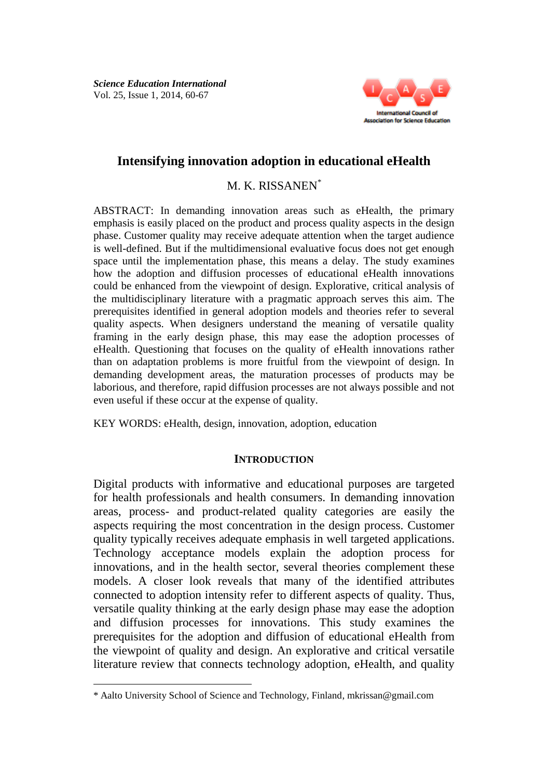

# **Intensifying innovation adoption in educational eHealth**

M. K. RISSANEN\*

ABSTRACT: In demanding innovation areas such as eHealth, the primary emphasis is easily placed on the product and process quality aspects in the design phase. Customer quality may receive adequate attention when the target audience is well-defined. But if the multidimensional evaluative focus does not get enough space until the implementation phase, this means a delay. The study examines how the adoption and diffusion processes of educational eHealth innovations could be enhanced from the viewpoint of design. Explorative, critical analysis of the multidisciplinary literature with a pragmatic approach serves this aim. The prerequisites identified in general adoption models and theories refer to several quality aspects. When designers understand the meaning of versatile quality framing in the early design phase, this may ease the adoption processes of eHealth. Questioning that focuses on the quality of eHealth innovations rather than on adaptation problems is more fruitful from the viewpoint of design. In demanding development areas, the maturation processes of products may be laborious, and therefore, rapid diffusion processes are not always possible and not even useful if these occur at the expense of quality.

KEY WORDS: eHealth, design, innovation, adoption, education

#### **INTRODUCTION**

Digital products with informative and educational purposes are targeted for health professionals and health consumers. In demanding innovation areas, process- and product-related quality categories are easily the aspects requiring the most concentration in the design process. Customer quality typically receives adequate emphasis in well targeted applications. Technology acceptance models explain the adoption process for innovations, and in the health sector, several theories complement these models. A closer look reveals that many of the identified attributes connected to adoption intensity refer to different aspects of quality. Thus, versatile quality thinking at the early design phase may ease the adoption and diffusion processes for innovations. This study examines the prerequisites for the adoption and diffusion of educational eHealth from the viewpoint of quality and design. An explorative and critical versatile literature review that connects technology adoption, eHealth, and quality

 $\overline{\phantom{a}}$ 

<sup>\*</sup> Aalto University School of Science and Technology, Finland, mkrissan@gmail.com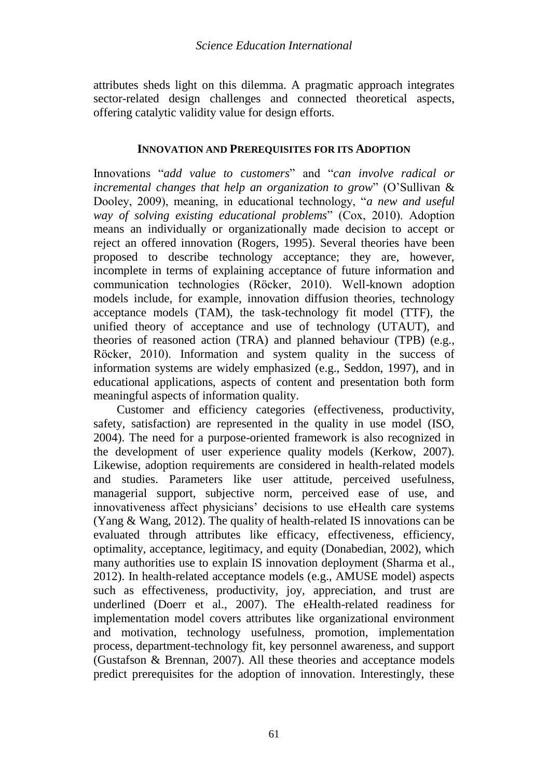attributes sheds light on this dilemma. A pragmatic approach integrates sector-related design challenges and connected theoretical aspects, offering catalytic validity value for design efforts.

## **INNOVATION AND PREREQUISITES FOR ITS ADOPTION**

Innovations "*add value to customers*" and "*can involve radical or incremental changes that help an organization to grow*" (O'Sullivan & Dooley, 2009), meaning, in educational technology, "*a new and useful way of solving existing educational problems*" (Cox, 2010). Adoption means an individually or organizationally made decision to accept or reject an offered innovation (Rogers, 1995). Several theories have been proposed to describe technology acceptance; they are, however, incomplete in terms of explaining acceptance of future information and communication technologies (Röcker, 2010). Well-known adoption models include, for example, innovation diffusion theories, technology acceptance models (TAM), the task-technology fit model (TTF), the unified theory of acceptance and use of technology (UTAUT), and theories of reasoned action (TRA) and planned behaviour (TPB) (e.g., Röcker, 2010). Information and system quality in the success of information systems are widely emphasized (e.g., Seddon, 1997), and in educational applications, aspects of content and presentation both form meaningful aspects of information quality.

Customer and efficiency categories (effectiveness, productivity, safety, satisfaction) are represented in the quality in use model (ISO, 2004). The need for a purpose-oriented framework is also recognized in the development of user experience quality models (Kerkow, 2007). Likewise, adoption requirements are considered in health-related models and studies. Parameters like user attitude, perceived usefulness, managerial support, subjective norm, perceived ease of use, and innovativeness affect physicians' decisions to use eHealth care systems (Yang & Wang, 2012). The quality of health-related IS innovations can be evaluated through attributes like efficacy, effectiveness, efficiency, optimality, acceptance, legitimacy, and equity (Donabedian, 2002), which many authorities use to explain IS innovation deployment (Sharma et al., 2012). In health-related acceptance models (e.g., AMUSE model) aspects such as effectiveness, productivity, joy, appreciation, and trust are underlined (Doerr et al., 2007). The eHealth-related readiness for implementation model covers attributes like organizational environment and motivation, technology usefulness, promotion, implementation process, department-technology fit, key personnel awareness, and support (Gustafson & Brennan, 2007). All these theories and acceptance models predict prerequisites for the adoption of innovation. Interestingly, these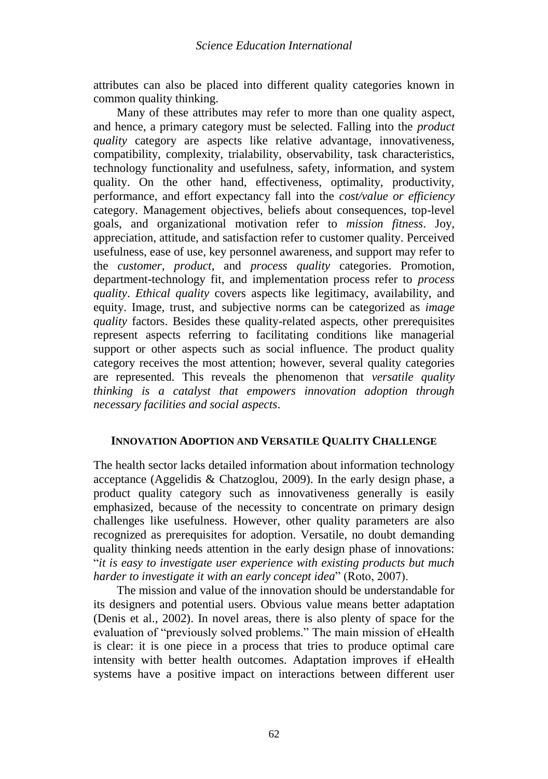attributes can also be placed into different quality categories known in common quality thinking.

Many of these attributes may refer to more than one quality aspect, and hence, a primary category must be selected. Falling into the *product quality* category are aspects like relative advantage, innovativeness, compatibility, complexity, trialability, observability, task characteristics, technology functionality and usefulness, safety, information, and system quality. On the other hand, effectiveness, optimality, productivity, performance, and effort expectancy fall into the *cost/value or efficiency* category. Management objectives, beliefs about consequences, top-level goals, and organizational motivation refer to *mission fitness*. Joy, appreciation, attitude, and satisfaction refer to customer quality. Perceived usefulness, ease of use, key personnel awareness, and support may refer to the *customer, product*, and *process quality* categories. Promotion, department-technology fit, and implementation process refer to *process quality*. *Ethical quality* covers aspects like legitimacy, availability, and equity. Image, trust, and subjective norms can be categorized as *image quality* factors. Besides these quality-related aspects, other prerequisites represent aspects referring to facilitating conditions like managerial support or other aspects such as social influence. The product quality category receives the most attention; however, several quality categories are represented. This reveals the phenomenon that *versatile quality thinking is a catalyst that empowers innovation adoption through necessary facilities and social aspects*.

## **INNOVATION ADOPTION AND VERSATILE QUALITY CHALLENGE**

The health sector lacks detailed information about information technology acceptance (Aggelidis & Chatzoglou, 2009). In the early design phase, a product quality category such as innovativeness generally is easily emphasized, because of the necessity to concentrate on primary design challenges like usefulness. However, other quality parameters are also recognized as prerequisites for adoption. Versatile, no doubt demanding quality thinking needs attention in the early design phase of innovations: "*it is easy to investigate user experience with existing products but much harder to investigate it with an early concept idea*" (Roto, 2007).

The mission and value of the innovation should be understandable for its designers and potential users. Obvious value means better adaptation (Denis et al., 2002). In novel areas, there is also plenty of space for the evaluation of "previously solved problems." The main mission of eHealth is clear: it is one piece in a process that tries to produce optimal care intensity with better health outcomes. Adaptation improves if eHealth systems have a positive impact on interactions between different user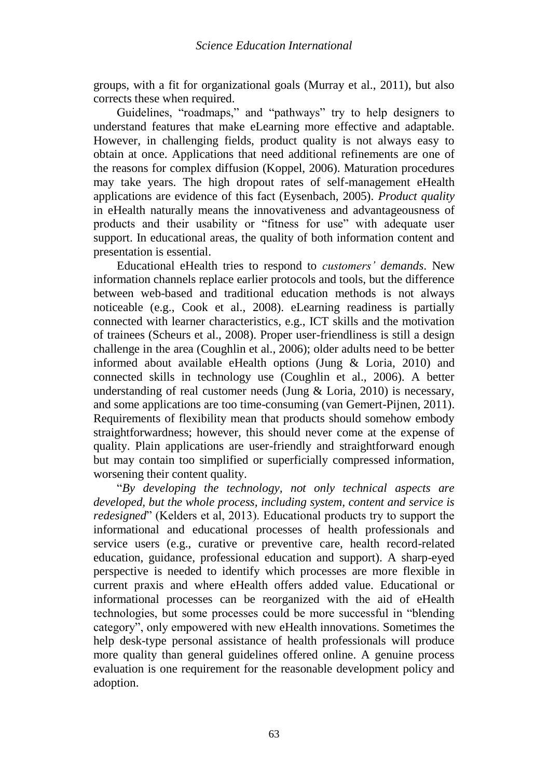groups, with a fit for organizational goals (Murray et al., 2011), but also corrects these when required.

Guidelines, "roadmaps," and "pathways" try to help designers to understand features that make eLearning more effective and adaptable. However, in challenging fields, product quality is not always easy to obtain at once. Applications that need additional refinements are one of the reasons for complex diffusion (Koppel, 2006). Maturation procedures may take years. The high dropout rates of self-management eHealth applications are evidence of this fact (Eysenbach, 2005). *Product quality* in eHealth naturally means the innovativeness and advantageousness of products and their usability or "fitness for use" with adequate user support. In educational areas, the quality of both information content and presentation is essential.

Educational eHealth tries to respond to *customers' demands*. New information channels replace earlier protocols and tools, but the difference between web-based and traditional education methods is not always noticeable (e.g., Cook et al., 2008). eLearning readiness is partially connected with learner characteristics, e.g., ICT skills and the motivation of trainees (Scheurs et al., 2008). Proper user-friendliness is still a design challenge in the area (Coughlin et al., 2006); older adults need to be better informed about available eHealth options (Jung & Loria, 2010) and connected skills in technology use (Coughlin et al., 2006). A better understanding of real customer needs (Jung & Loria, 2010) is necessary, and some applications are too time-consuming (van Gemert-Pijnen, 2011). Requirements of flexibility mean that products should somehow embody straightforwardness; however, this should never come at the expense of quality. Plain applications are user-friendly and straightforward enough but may contain too simplified or superficially compressed information, worsening their content quality.

"*By developing the technology, not only technical aspects are developed, but the whole process, including system, content and service is redesigned*" (Kelders et al, 2013). Educational products try to support the informational and educational processes of health professionals and service users (e.g., curative or preventive care, health record-related education, guidance, professional education and support). A sharp-eyed perspective is needed to identify which processes are more flexible in current praxis and where eHealth offers added value. Educational or informational processes can be reorganized with the aid of eHealth technologies, but some processes could be more successful in "blending category", only empowered with new eHealth innovations. Sometimes the help desk-type personal assistance of health professionals will produce more quality than general guidelines offered online. A genuine process evaluation is one requirement for the reasonable development policy and adoption.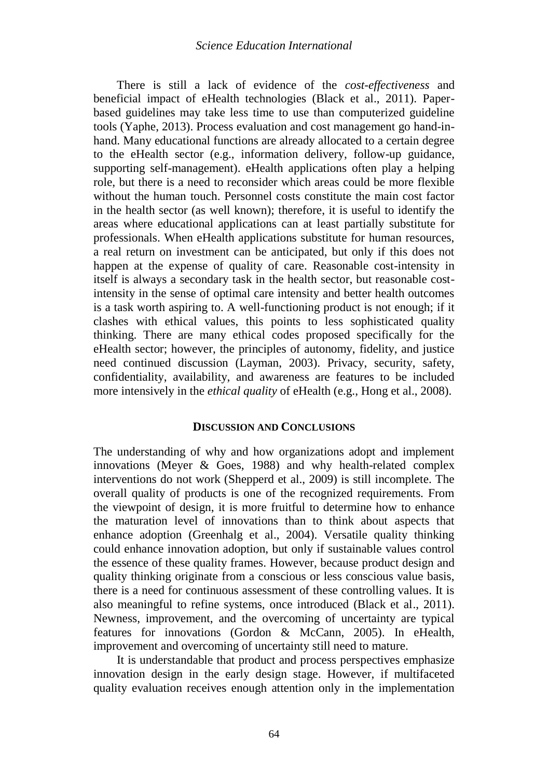There is still a lack of evidence of the *cost-effectiveness* and beneficial impact of eHealth technologies (Black et al., 2011). Paperbased guidelines may take less time to use than computerized guideline tools (Yaphe, 2013). Process evaluation and cost management go hand-inhand. Many educational functions are already allocated to a certain degree to the eHealth sector (e.g., information delivery, follow-up guidance, supporting self-management). eHealth applications often play a helping role, but there is a need to reconsider which areas could be more flexible without the human touch. Personnel costs constitute the main cost factor in the health sector (as well known); therefore, it is useful to identify the areas where educational applications can at least partially substitute for professionals. When eHealth applications substitute for human resources, a real return on investment can be anticipated, but only if this does not happen at the expense of quality of care. Reasonable cost-intensity in itself is always a secondary task in the health sector, but reasonable costintensity in the sense of optimal care intensity and better health outcomes is a task worth aspiring to. A well-functioning product is not enough; if it clashes with ethical values, this points to less sophisticated quality thinking. There are many ethical codes proposed specifically for the eHealth sector; however, the principles of autonomy, fidelity, and justice need continued discussion (Layman, 2003). Privacy, security, safety, confidentiality, availability, and awareness are features to be included more intensively in the *ethical quality* of eHealth (e.g., Hong et al., 2008).

#### **DISCUSSION AND CONCLUSIONS**

The understanding of why and how organizations adopt and implement innovations (Meyer & Goes, 1988) and why health-related complex interventions do not work (Shepperd et al., 2009) is still incomplete. The overall quality of products is one of the recognized requirements. From the viewpoint of design, it is more fruitful to determine how to enhance the maturation level of innovations than to think about aspects that enhance adoption (Greenhalg et al., 2004). Versatile quality thinking could enhance innovation adoption, but only if sustainable values control the essence of these quality frames. However, because product design and quality thinking originate from a conscious or less conscious value basis, there is a need for continuous assessment of these controlling values. It is also meaningful to refine systems, once introduced (Black et al., 2011). Newness, improvement, and the overcoming of uncertainty are typical features for innovations (Gordon & McCann, 2005). In eHealth, improvement and overcoming of uncertainty still need to mature.

It is understandable that product and process perspectives emphasize innovation design in the early design stage. However, if multifaceted quality evaluation receives enough attention only in the implementation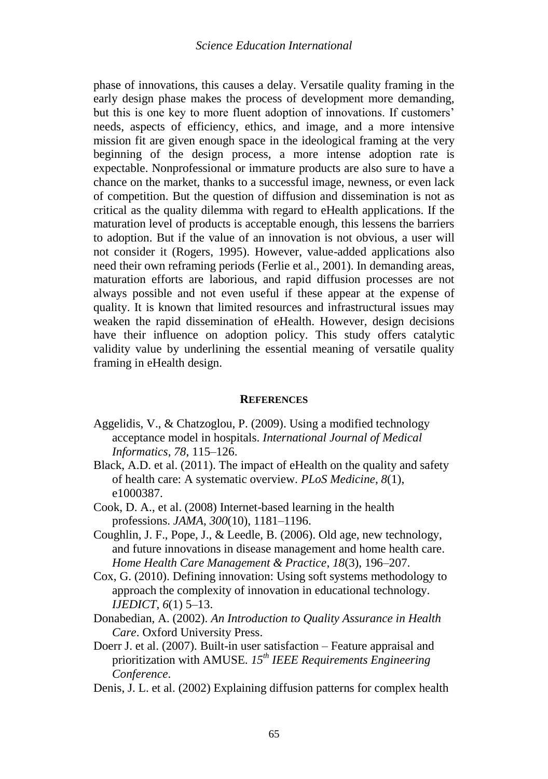phase of innovations, this causes a delay. Versatile quality framing in the early design phase makes the process of development more demanding, but this is one key to more fluent adoption of innovations. If customers' needs, aspects of efficiency, ethics, and image, and a more intensive mission fit are given enough space in the ideological framing at the very beginning of the design process, a more intense adoption rate is expectable. Nonprofessional or immature products are also sure to have a chance on the market, thanks to a successful image, newness, or even lack of competition. But the question of diffusion and dissemination is not as critical as the quality dilemma with regard to eHealth applications. If the maturation level of products is acceptable enough, this lessens the barriers to adoption. But if the value of an innovation is not obvious, a user will not consider it (Rogers, 1995). However, value-added applications also need their own reframing periods (Ferlie et al., 2001). In demanding areas, maturation efforts are laborious, and rapid diffusion processes are not always possible and not even useful if these appear at the expense of quality. It is known that limited resources and infrastructural issues may weaken the rapid dissemination of eHealth. However, design decisions have their influence on adoption policy. This study offers catalytic validity value by underlining the essential meaning of versatile quality framing in eHealth design.

## **REFERENCES**

- Aggelidis, V., & Chatzoglou, P. (2009). Using a modified technology acceptance model in hospitals. *International Journal of Medical Informatics*, *78*, 115–126.
- Black, A.D. et al. (2011). The impact of eHealth on the quality and safety of health care: A systematic overview. *PLoS Medicine*, *8*(1), e1000387.
- Cook, D. A., et al. (2008) Internet-based learning in the health professions. *JAMA*, *300*(10), 1181–1196.
- Coughlin, J. F., Pope, J., & Leedle, B. (2006). Old age, new technology, and future innovations in disease management and home health care. *Home Health Care Management & Practice*, *18*(3), 196–207.
- Cox, G. (2010). Defining innovation: Using soft systems methodology to approach the complexity of innovation in educational technology. *IJEDICT*, *6*(1) 5–13.
- Donabedian, A. (2002). *An Introduction to Quality Assurance in Health Care*. Oxford University Press.
- Doerr J. et al. (2007). Built-in user satisfaction Feature appraisal and prioritization with AMUSE. *15th IEEE Requirements Engineering Conference*.
- Denis, J. L. et al. (2002) Explaining diffusion patterns for complex health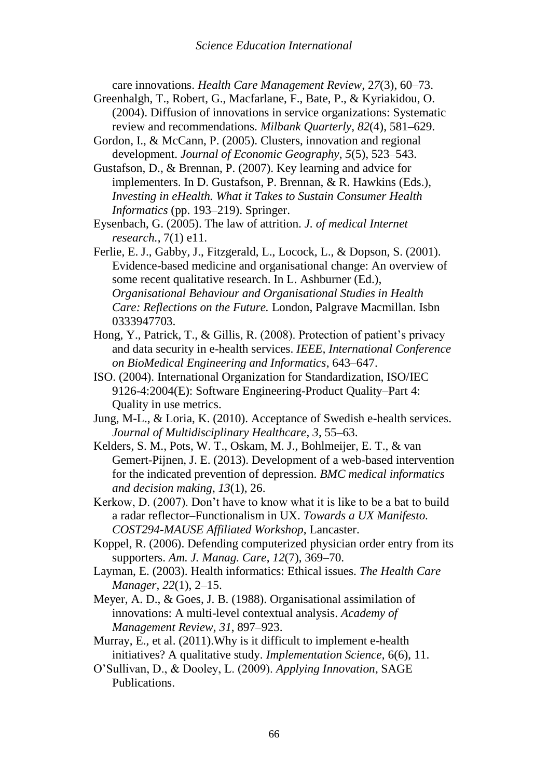care innovations. *Health Care Management Review*, 2*7*(3), 60–73.

- Greenhalgh, T., Robert, G., Macfarlane, F., Bate, P., & Kyriakidou, O. (2004). Diffusion of innovations in service organizations: Systematic review and recommendations. *Milbank Quarterly*, *82*(4), 581–629.
- Gordon, I., & McCann, P. (2005). Clusters, innovation and regional development. *Journal of Economic Geography*, *5*(5), 523–543.
- Gustafson, D., & Brennan, P. (2007). Key learning and advice for implementers. In D. Gustafson, P. Brennan, & R. Hawkins (Eds.), *Investing in eHealth. What it Takes to Sustain Consumer Health Informatics* (pp. 193–219). Springer.
- Eysenbach, G. (2005). The law of attrition. *J. of medical Internet research.*, 7(1) e11.
- Ferlie, E. J., Gabby, J., Fitzgerald, L., Locock, L., & Dopson, S. (2001). Evidence-based medicine and organisational change: An overview of some recent qualitative research. In L. Ashburner (Ed.), *Organisational Behaviour and Organisational Studies in Health Care: Reflections on the Future.* London, Palgrave Macmillan. Isbn 0333947703.
- Hong, Y., Patrick, T., & Gillis, R. (2008). Protection of patient's privacy and data security in e-health services. *IEEE, International Conference on BioMedical Engineering and Informatics*, 643–647.
- ISO. (2004). International Organization for Standardization, ISO/IEC 9126-4:2004(E): Software Engineering-Product Quality–Part 4: Quality in use metrics.
- Jung, M-L., & Loria, K. (2010). Acceptance of Swedish e-health services. *Journal of Multidisciplinary Healthcare*, *3*, 55–63.
- Kelders, S. M., Pots, W. T., Oskam, M. J., Bohlmeijer, E. T., & van Gemert-Pijnen, J. E. (2013). Development of a web-based intervention for the indicated prevention of depression. *BMC medical informatics and decision making*, *13*(1), 26.
- Kerkow, D. (2007). Don't have to know what it is like to be a bat to build a radar reflector–Functionalism in UX. *Towards a UX Manifesto. COST294-MAUSE Affiliated Workshop*, Lancaster.
- Koppel, R. (2006). Defending computerized physician order entry from its supporters. *Am. J. Manag. Care*, *12*(7), 369–70.
- Layman, E. (2003). Health informatics: Ethical issues. *The Health Care Manager*, *22*(1), 2–15.
- Meyer, A. D., & Goes, J. B. (1988). Organisational assimilation of innovations: A multi-level contextual analysis. *Academy of Management Review, 31*, 897–923.
- Murray, E., et al. (2011).Why is it difficult to implement e-health initiatives? A qualitative study. *Implementation Science*, 6(6), 11.
- O'Sullivan, D., & Dooley, L. (2009). *Applying Innovation*, SAGE Publications.